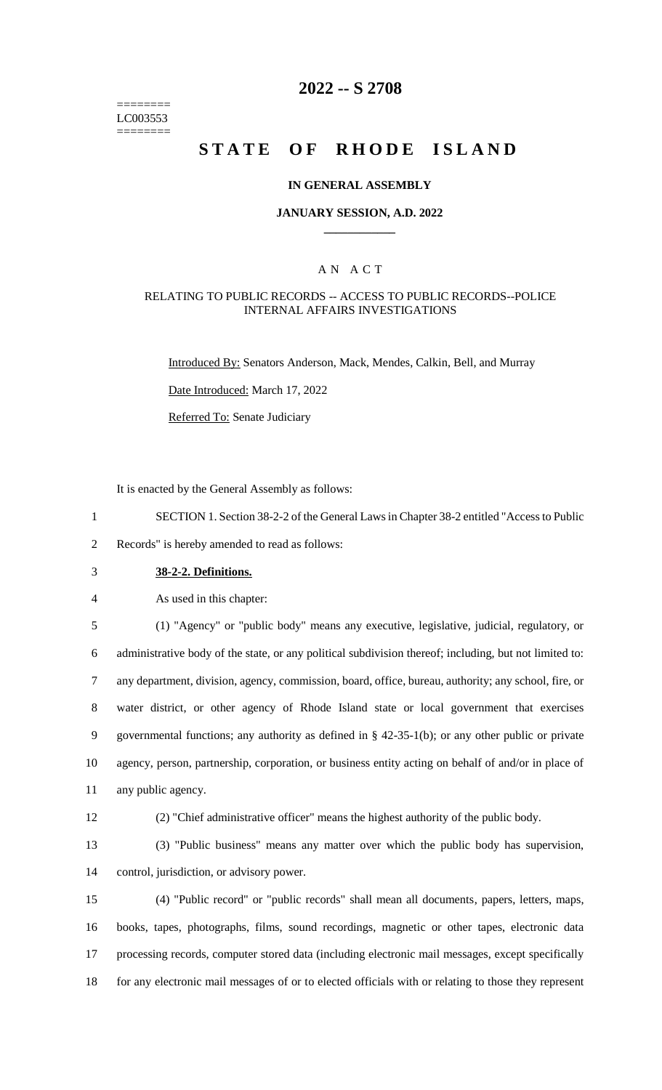======== LC003553 ========

### **2022 -- S 2708**

# **STATE OF RHODE ISLAND**

#### **IN GENERAL ASSEMBLY**

#### **JANUARY SESSION, A.D. 2022 \_\_\_\_\_\_\_\_\_\_\_\_**

### A N A C T

#### RELATING TO PUBLIC RECORDS -- ACCESS TO PUBLIC RECORDS--POLICE INTERNAL AFFAIRS INVESTIGATIONS

Introduced By: Senators Anderson, Mack, Mendes, Calkin, Bell, and Murray

Date Introduced: March 17, 2022

Referred To: Senate Judiciary

It is enacted by the General Assembly as follows:

1 SECTION 1. Section 38-2-2 of the General Laws in Chapter 38-2 entitled "Access to Public

2 Records" is hereby amended to read as follows:

3 **38-2-2. Definitions.**

4 As used in this chapter:

 (1) "Agency" or "public body" means any executive, legislative, judicial, regulatory, or administrative body of the state, or any political subdivision thereof; including, but not limited to: any department, division, agency, commission, board, office, bureau, authority; any school, fire, or water district, or other agency of Rhode Island state or local government that exercises governmental functions; any authority as defined in § 42-35-1(b); or any other public or private agency, person, partnership, corporation, or business entity acting on behalf of and/or in place of any public agency.

12 (2) "Chief administrative officer" means the highest authority of the public body.

13 (3) "Public business" means any matter over which the public body has supervision, 14 control, jurisdiction, or advisory power.

 (4) "Public record" or "public records" shall mean all documents, papers, letters, maps, books, tapes, photographs, films, sound recordings, magnetic or other tapes, electronic data processing records, computer stored data (including electronic mail messages, except specifically for any electronic mail messages of or to elected officials with or relating to those they represent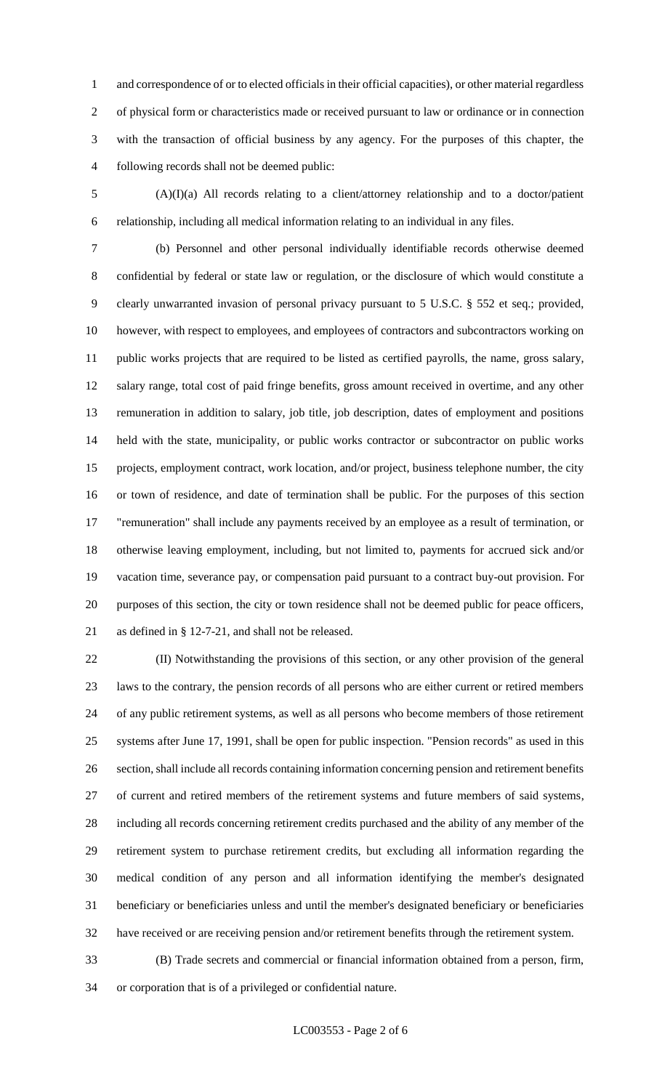and correspondence of or to elected officials in their official capacities), or other material regardless of physical form or characteristics made or received pursuant to law or ordinance or in connection with the transaction of official business by any agency. For the purposes of this chapter, the following records shall not be deemed public:

 (A)(I)(a) All records relating to a client/attorney relationship and to a doctor/patient relationship, including all medical information relating to an individual in any files.

 (b) Personnel and other personal individually identifiable records otherwise deemed confidential by federal or state law or regulation, or the disclosure of which would constitute a clearly unwarranted invasion of personal privacy pursuant to 5 U.S.C. § 552 et seq.; provided, however, with respect to employees, and employees of contractors and subcontractors working on public works projects that are required to be listed as certified payrolls, the name, gross salary, salary range, total cost of paid fringe benefits, gross amount received in overtime, and any other remuneration in addition to salary, job title, job description, dates of employment and positions held with the state, municipality, or public works contractor or subcontractor on public works projects, employment contract, work location, and/or project, business telephone number, the city or town of residence, and date of termination shall be public. For the purposes of this section "remuneration" shall include any payments received by an employee as a result of termination, or otherwise leaving employment, including, but not limited to, payments for accrued sick and/or vacation time, severance pay, or compensation paid pursuant to a contract buy-out provision. For purposes of this section, the city or town residence shall not be deemed public for peace officers, as defined in § 12-7-21, and shall not be released.

 (II) Notwithstanding the provisions of this section, or any other provision of the general laws to the contrary, the pension records of all persons who are either current or retired members of any public retirement systems, as well as all persons who become members of those retirement systems after June 17, 1991, shall be open for public inspection. "Pension records" as used in this section, shall include all records containing information concerning pension and retirement benefits of current and retired members of the retirement systems and future members of said systems, including all records concerning retirement credits purchased and the ability of any member of the retirement system to purchase retirement credits, but excluding all information regarding the medical condition of any person and all information identifying the member's designated beneficiary or beneficiaries unless and until the member's designated beneficiary or beneficiaries have received or are receiving pension and/or retirement benefits through the retirement system.

 (B) Trade secrets and commercial or financial information obtained from a person, firm, or corporation that is of a privileged or confidential nature.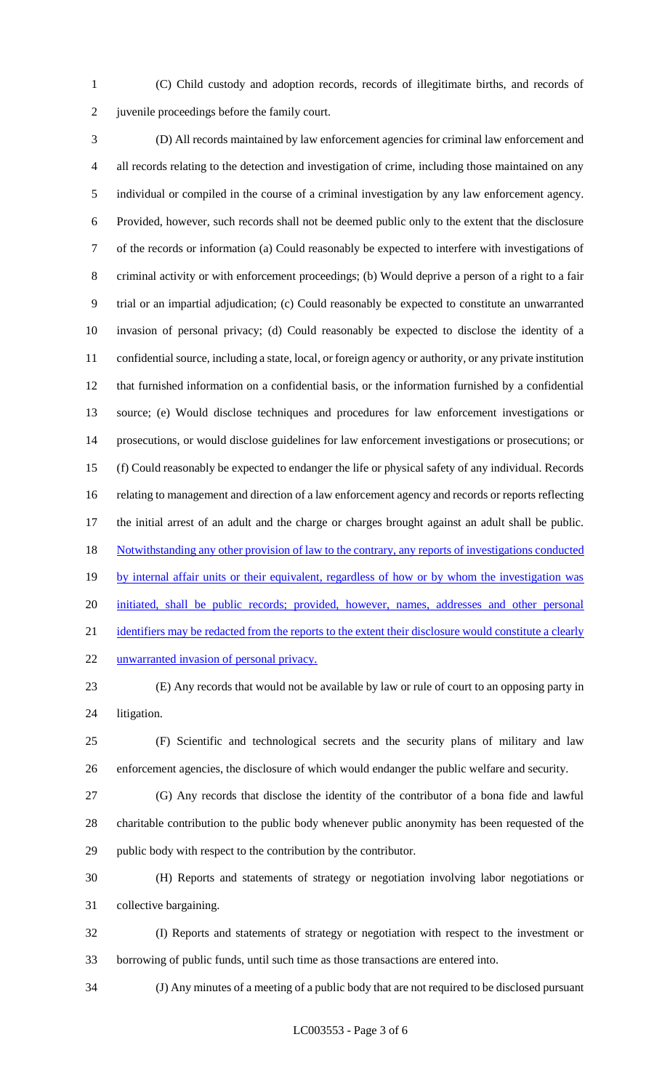(C) Child custody and adoption records, records of illegitimate births, and records of juvenile proceedings before the family court.

 (D) All records maintained by law enforcement agencies for criminal law enforcement and all records relating to the detection and investigation of crime, including those maintained on any individual or compiled in the course of a criminal investigation by any law enforcement agency. Provided, however, such records shall not be deemed public only to the extent that the disclosure of the records or information (a) Could reasonably be expected to interfere with investigations of criminal activity or with enforcement proceedings; (b) Would deprive a person of a right to a fair trial or an impartial adjudication; (c) Could reasonably be expected to constitute an unwarranted invasion of personal privacy; (d) Could reasonably be expected to disclose the identity of a confidential source, including a state, local, or foreign agency or authority, or any private institution that furnished information on a confidential basis, or the information furnished by a confidential source; (e) Would disclose techniques and procedures for law enforcement investigations or prosecutions, or would disclose guidelines for law enforcement investigations or prosecutions; or (f) Could reasonably be expected to endanger the life or physical safety of any individual. Records relating to management and direction of a law enforcement agency and records or reports reflecting the initial arrest of an adult and the charge or charges brought against an adult shall be public. 18 Notwithstanding any other provision of law to the contrary, any reports of investigations conducted 19 by internal affair units or their equivalent, regardless of how or by whom the investigation was initiated, shall be public records; provided, however, names, addresses and other personal 21 identifiers may be redacted from the reports to the extent their disclosure would constitute a clearly 22 unwarranted invasion of personal privacy.

 (E) Any records that would not be available by law or rule of court to an opposing party in litigation.

 (F) Scientific and technological secrets and the security plans of military and law enforcement agencies, the disclosure of which would endanger the public welfare and security.

 (G) Any records that disclose the identity of the contributor of a bona fide and lawful charitable contribution to the public body whenever public anonymity has been requested of the public body with respect to the contribution by the contributor.

 (H) Reports and statements of strategy or negotiation involving labor negotiations or collective bargaining.

 (I) Reports and statements of strategy or negotiation with respect to the investment or borrowing of public funds, until such time as those transactions are entered into.

(J) Any minutes of a meeting of a public body that are not required to be disclosed pursuant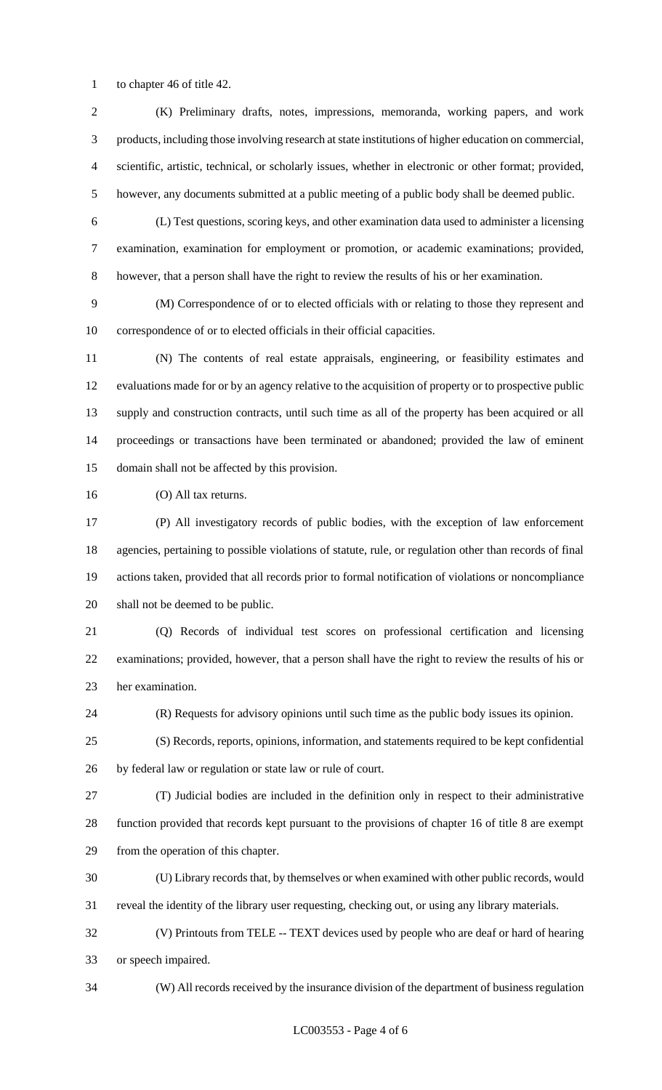to chapter 46 of title 42.

 (K) Preliminary drafts, notes, impressions, memoranda, working papers, and work products, including those involving research at state institutions of higher education on commercial, scientific, artistic, technical, or scholarly issues, whether in electronic or other format; provided, however, any documents submitted at a public meeting of a public body shall be deemed public.

 (L) Test questions, scoring keys, and other examination data used to administer a licensing examination, examination for employment or promotion, or academic examinations; provided, however, that a person shall have the right to review the results of his or her examination.

 (M) Correspondence of or to elected officials with or relating to those they represent and correspondence of or to elected officials in their official capacities.

 (N) The contents of real estate appraisals, engineering, or feasibility estimates and evaluations made for or by an agency relative to the acquisition of property or to prospective public supply and construction contracts, until such time as all of the property has been acquired or all proceedings or transactions have been terminated or abandoned; provided the law of eminent domain shall not be affected by this provision.

(O) All tax returns.

 (P) All investigatory records of public bodies, with the exception of law enforcement agencies, pertaining to possible violations of statute, rule, or regulation other than records of final actions taken, provided that all records prior to formal notification of violations or noncompliance shall not be deemed to be public.

 (Q) Records of individual test scores on professional certification and licensing examinations; provided, however, that a person shall have the right to review the results of his or her examination.

(R) Requests for advisory opinions until such time as the public body issues its opinion.

 (S) Records, reports, opinions, information, and statements required to be kept confidential by federal law or regulation or state law or rule of court.

 (T) Judicial bodies are included in the definition only in respect to their administrative function provided that records kept pursuant to the provisions of chapter 16 of title 8 are exempt from the operation of this chapter.

(U) Library records that, by themselves or when examined with other public records, would

reveal the identity of the library user requesting, checking out, or using any library materials.

 (V) Printouts from TELE -- TEXT devices used by people who are deaf or hard of hearing or speech impaired.

(W) All records received by the insurance division of the department of business regulation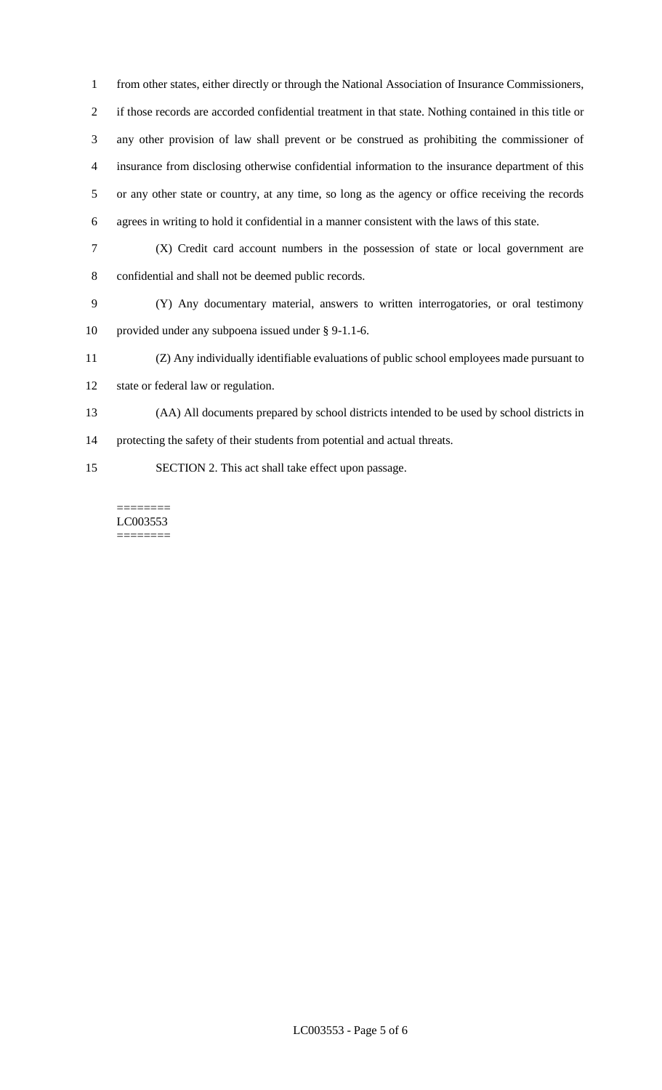from other states, either directly or through the National Association of Insurance Commissioners, if those records are accorded confidential treatment in that state. Nothing contained in this title or any other provision of law shall prevent or be construed as prohibiting the commissioner of insurance from disclosing otherwise confidential information to the insurance department of this or any other state or country, at any time, so long as the agency or office receiving the records agrees in writing to hold it confidential in a manner consistent with the laws of this state.

- (X) Credit card account numbers in the possession of state or local government are confidential and shall not be deemed public records.
- (Y) Any documentary material, answers to written interrogatories, or oral testimony provided under any subpoena issued under § 9-1.1-6.
- (Z) Any individually identifiable evaluations of public school employees made pursuant to
- state or federal law or regulation.
- (AA) All documents prepared by school districts intended to be used by school districts in

protecting the safety of their students from potential and actual threats.

SECTION 2. This act shall take effect upon passage.

======== LC003553  $=$